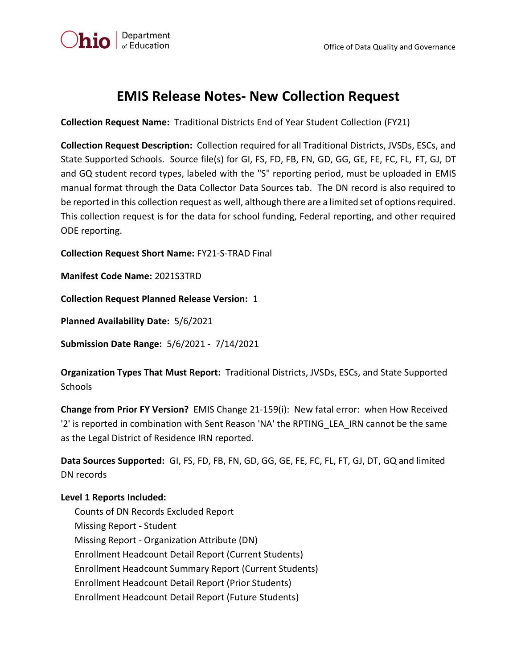

## **EMIS Release Notes- New Collection Request**

**Collection Request Name:** Traditional Districts End of Year Student Collection (FY21)

**Collection Request Description:** Collection required for all Traditional Districts, JVSDs, ESCs, and State Supported Schools. Source file(s) for GI, FS, FD, FB, FN, GD, GG, GE, FE, FC, FL, FT, GJ, DT and GQ student record types, labeled with the "S" reporting period, must be uploaded in EMIS manual format through the Data Collector Data Sources tab. The DN record is also required to be reported in this collection request as well, although there are a limited set of options required. This collection request is for the data for school funding, Federal reporting, and other required ODE reporting.

**Collection Request Short Name:** FY21-S-TRAD Final

**Manifest Code Name:** 2021S3TRD

**Collection Request Planned Release Version:** 1

**Planned Availability Date:** 5/6/2021

**Submission Date Range:** 5/6/2021 - 7/14/2021

**Organization Types That Must Report:** Traditional Districts, JVSDs, ESCs, and State Supported **Schools** 

**Change from Prior FY Version?** EMIS Change 21-159(i): New fatal error: when How Received '2' is reported in combination with Sent Reason 'NA' the RPTING\_LEA\_IRN cannot be the same as the Legal District of Residence IRN reported.

**Data Sources Supported:** GI, FS, FD, FB, FN, GD, GG, GE, FE, FC, FL, FT, GJ, DT, GQ and limited DN records

## **Level 1 Reports Included:**

 Counts of DN Records Excluded Report Missing Report - Student Missing Report - Organization Attribute (DN) Enrollment Headcount Detail Report (Current Students) Enrollment Headcount Summary Report (Current Students) Enrollment Headcount Detail Report (Prior Students) Enrollment Headcount Detail Report (Future Students)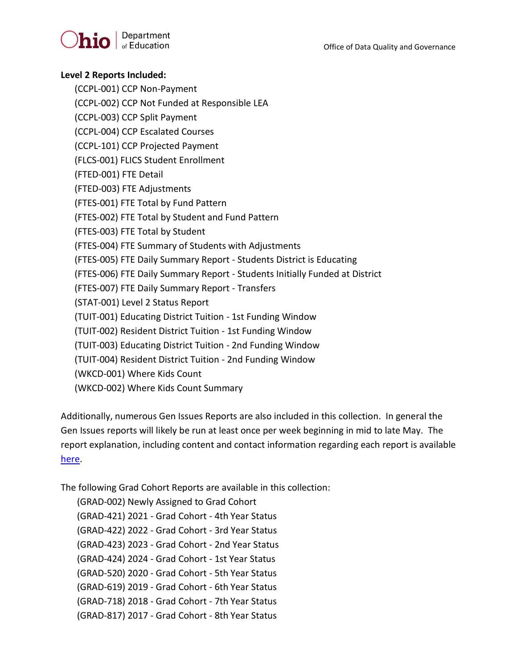Office of Data Quality and Governance



## **Level 2 Reports Included:**

(CCPL-001) CCP Non-Payment

(CCPL-002) CCP Not Funded at Responsible LEA

(CCPL-003) CCP Split Payment

(CCPL-004) CCP Escalated Courses

(CCPL-101) CCP Projected Payment

(FLCS-001) FLICS Student Enrollment

(FTED-001) FTE Detail

(FTED-003) FTE Adjustments

(FTES-001) FTE Total by Fund Pattern

(FTES-002) FTE Total by Student and Fund Pattern

(FTES-003) FTE Total by Student

(FTES-004) FTE Summary of Students with Adjustments

(FTES-005) FTE Daily Summary Report - Students District is Educating

(FTES-006) FTE Daily Summary Report - Students Initially Funded at District

(FTES-007) FTE Daily Summary Report - Transfers

(STAT-001) Level 2 Status Report

(TUIT-001) Educating District Tuition - 1st Funding Window

(TUIT-002) Resident District Tuition - 1st Funding Window

(TUIT-003) Educating District Tuition - 2nd Funding Window

(TUIT-004) Resident District Tuition - 2nd Funding Window

(WKCD-001) Where Kids Count

(WKCD-002) Where Kids Count Summary

Additionally, numerous Gen Issues Reports are also included in this collection. In general the Gen Issues reports will likely be run at least once per week beginning in mid to late May. The report explanation, including content and contact information regarding each report is available [here.](http://education.ohio.gov/Topics/Data/EMIS/EMIS-Documentation/FY16-EMIS-Validation-and-Report-Explanation-Docume)

The following Grad Cohort Reports are available in this collection:

 (GRAD-002) Newly Assigned to Grad Cohort (GRAD-421) 2021 - Grad Cohort - 4th Year Status (GRAD-422) 2022 - Grad Cohort - 3rd Year Status (GRAD-423) 2023 - Grad Cohort - 2nd Year Status (GRAD-424) 2024 - Grad Cohort - 1st Year Status (GRAD-520) 2020 - Grad Cohort - 5th Year Status (GRAD-619) 2019 - Grad Cohort - 6th Year Status (GRAD-718) 2018 - Grad Cohort - 7th Year Status (GRAD-817) 2017 - Grad Cohort - 8th Year Status